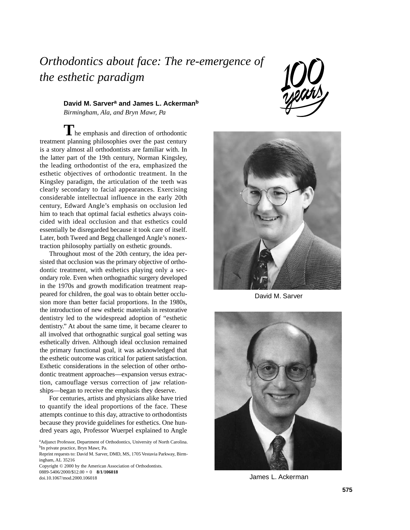## *Orthodontics about face: The re-emergence of the esthetic paradigm*

David M. Sarver<sup>a</sup> and James L. Ackerman<sup>b</sup> *Birmingham, Ala, and Bryn Mawr, Pa*

**T**he emphasis and direction of orthodontic treatment planning philosophies over the past century is a story almost all orthodontists are familiar with. In the latter part of the 19th century, Norman Kingsley, the leading orthodontist of the era, emphasized the esthetic objectives of orthodontic treatment. In the Kingsley paradigm, the articulation of the teeth was clearly secondary to facial appearances. Exercising considerable intellectual influence in the early 20th century, Edward Angle's emphasis on occlusion led him to teach that optimal facial esthetics always coincided with ideal occlusion and that esthetics could essentially be disregarded because it took care of itself. Later, both Tweed and Begg challenged Angle's nonextraction philosophy partially on esthetic grounds.

Throughout most of the 20th century, the idea persisted that occlusion was the primary objective of orthodontic treatment, with esthetics playing only a secondary role. Even when orthognathic surgery developed in the 1970s and growth modification treatment reappeared for children, the goal was to obtain better occlusion more than better facial proportions. In the 1980s, the introduction of new esthetic materials in restorative dentistry led to the widespread adoption of "esthetic dentistry." At about the same time, it became clearer to all involved that orthognathic surgical goal setting was esthetically driven. Although ideal occlusion remained the primary functional goal, it was acknowledged that the esthetic outcome was critical for patient satisfaction. Esthetic considerations in the selection of other orthodontic treatment approaches—expansion versus extraction, camouflage versus correction of jaw relationships—began to receive the emphasis they deserve.

For centuries, artists and physicians alike have tried to quantify the ideal proportions of the face. These attempts continue to this day, attractive to orthodontists because they provide guidelines for esthetics. One hundred years ago, Professor Wuerpel explained to Angle

Copyright © 2000 by the American Association of Orthodontists. 0889-5406/2000/\$12.00 + 0 **8/1/106018** doi.10.1067/mod.2000.106018





David M. Sarver



James L. Ackerman

aAdjunct Professor, Department of Orthodontics, University of North Carolina. bIn private practice, Bryn Mawr, Pa.

Reprint requests to: David M. Sarver, DMD, MS, 1705 Vestavia Parkway, Birmingham, AL 35216